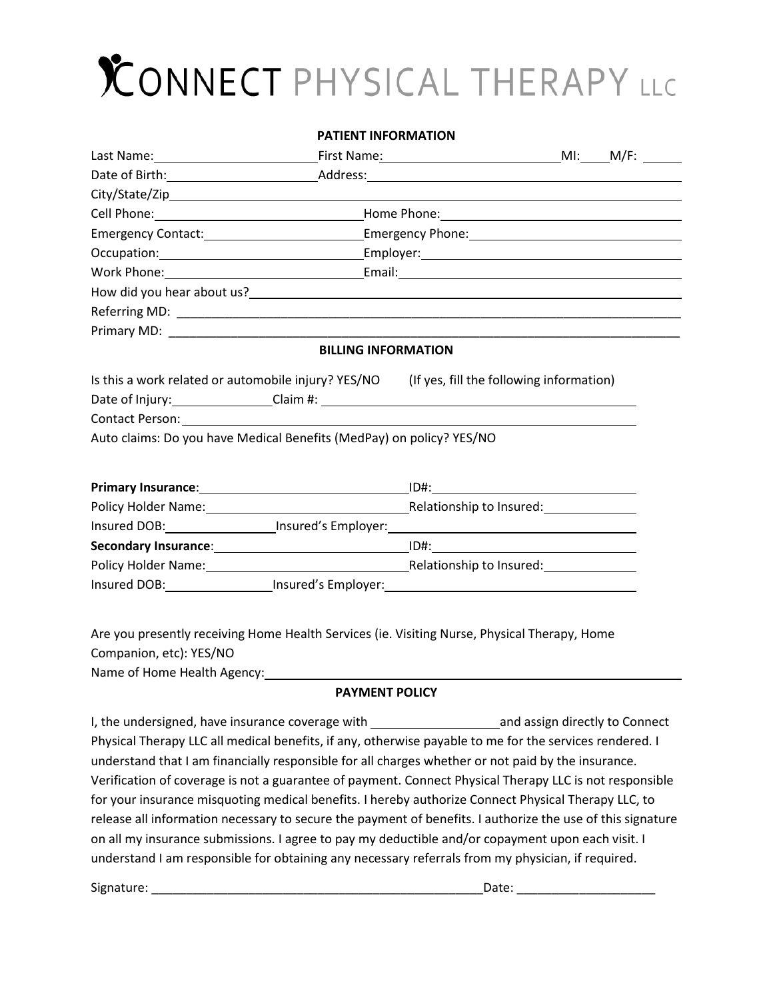# $\chi$ ONNECT PHYSICAL THERAPY LLC

#### **PATIENT INFORMATION**

| How did you hear about us?<br>and the contract of the contract of the contract of the contract of the contract of the contract of the contract of the contract of the contract of the contract of the contract of the contract o |                            |  |  |  |  |  |
|----------------------------------------------------------------------------------------------------------------------------------------------------------------------------------------------------------------------------------|----------------------------|--|--|--|--|--|
|                                                                                                                                                                                                                                  |                            |  |  |  |  |  |
|                                                                                                                                                                                                                                  |                            |  |  |  |  |  |
|                                                                                                                                                                                                                                  | <b>BILLING INFORMATION</b> |  |  |  |  |  |
| Is this a work related or automobile injury? YES/NO (If yes, fill the following information)                                                                                                                                     |                            |  |  |  |  |  |
|                                                                                                                                                                                                                                  |                            |  |  |  |  |  |
|                                                                                                                                                                                                                                  |                            |  |  |  |  |  |
| Auto claims: Do you have Medical Benefits (MedPay) on policy? YES/NO                                                                                                                                                             |                            |  |  |  |  |  |
|                                                                                                                                                                                                                                  |                            |  |  |  |  |  |
|                                                                                                                                                                                                                                  |                            |  |  |  |  |  |
| Policy Holder Name: 1990 Manual Policy Holder Name: 1991 Manual Policy Holder Name: 1991                                                                                                                                         |                            |  |  |  |  |  |
| Insured DOB: __________________Insured's Employer: _____________________________                                                                                                                                                 |                            |  |  |  |  |  |
|                                                                                                                                                                                                                                  |                            |  |  |  |  |  |
| Policy Holder Name: 1990 March 2010 Relationship to Insured: 1991 March 2010 March 2010 March 2010 March 2010                                                                                                                    |                            |  |  |  |  |  |
| Insured DOB: __________________Insured's Employer: _____________________________                                                                                                                                                 |                            |  |  |  |  |  |
|                                                                                                                                                                                                                                  |                            |  |  |  |  |  |

Are you presently receiving Home Health Services (ie. Visiting Nurse, Physical Therapy, Home Companion, etc): YES/NO Name of Home Health Agency: 1988 1988 1988

#### **PAYMENT POLICY**

I, the undersigned, have insurance coverage with **connect** and assign directly to Connect Physical Therapy LLC all medical benefits, if any, otherwise payable to me for the services rendered. I understand that I am financially responsible for all charges whether or not paid by the insurance. Verification of coverage is not a guarantee of payment. Connect Physical Therapy LLC is not responsible for your insurance misquoting medical benefits. I hereby authorize Connect Physical Therapy LLC, to release all information necessary to secure the payment of benefits. I authorize the use of this signature on all my insurance submissions. I agree to pay my deductible and/or copayment upon each visit. I understand I am responsible for obtaining any necessary referrals from my physician, if required.

Signature: \_\_\_\_\_\_\_\_\_\_\_\_\_\_\_\_\_\_\_\_\_\_\_\_\_\_\_\_\_\_\_\_\_\_\_\_\_\_\_\_\_\_\_\_\_\_\_\_Date: \_\_\_\_\_\_\_\_\_\_\_\_\_\_\_\_\_\_\_\_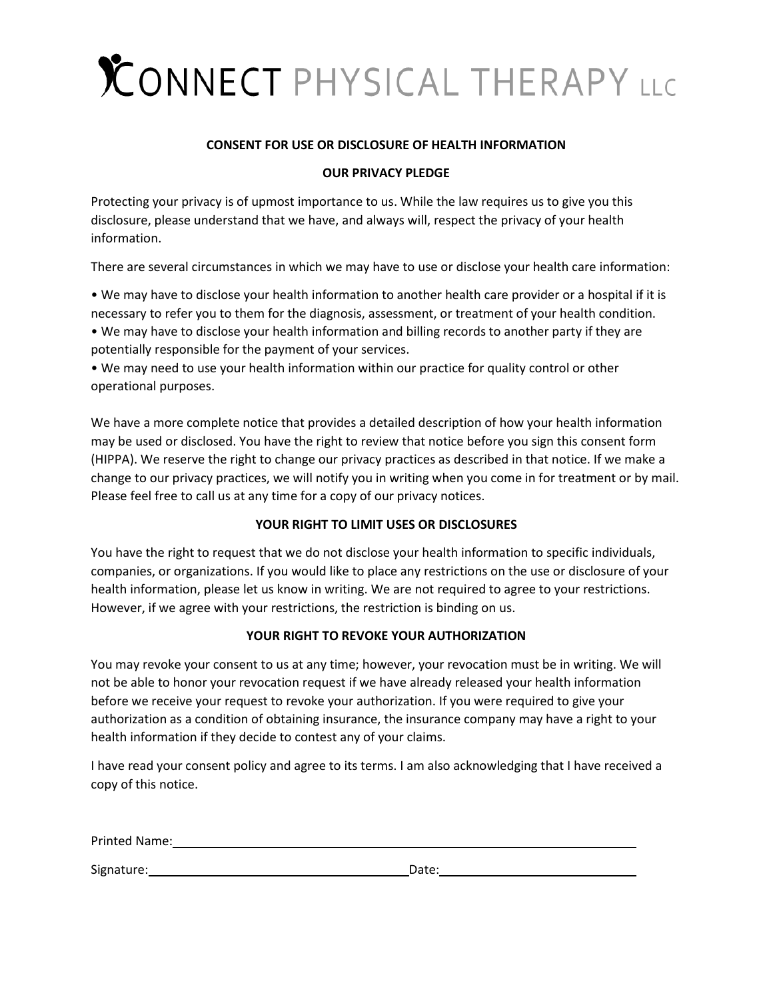# CONNECT PHYSICAL THERAPY LLC

#### **CONSENT FOR USE OR DISCLOSURE OF HEALTH INFORMATION**

#### **OUR PRIVACY PLEDGE**

Protecting your privacy is of upmost importance to us. While the law requires us to give you this disclosure, please understand that we have, and always will, respect the privacy of your health information.

There are several circumstances in which we may have to use or disclose your health care information:

• We may have to disclose your health information to another health care provider or a hospital if it is necessary to refer you to them for the diagnosis, assessment, or treatment of your health condition. • We may have to disclose your health information and billing records to another party if they are potentially responsible for the payment of your services.

• We may need to use your health information within our practice for quality control or other operational purposes.

We have a more complete notice that provides a detailed description of how your health information may be used or disclosed. You have the right to review that notice before you sign this consent form (HIPPA). We reserve the right to change our privacy practices as described in that notice. If we make a change to our privacy practices, we will notify you in writing when you come in for treatment or by mail. Please feel free to call us at any time for a copy of our privacy notices.

#### **YOUR RIGHT TO LIMIT USES OR DISCLOSURES**

You have the right to request that we do not disclose your health information to specific individuals, companies, or organizations. If you would like to place any restrictions on the use or disclosure of your health information, please let us know in writing. We are not required to agree to your restrictions. However, if we agree with your restrictions, the restriction is binding on us.

#### **YOUR RIGHT TO REVOKE YOUR AUTHORIZATION**

You may revoke your consent to us at any time; however, your revocation must be in writing. We will not be able to honor your revocation request if we have already released your health information before we receive your request to revoke your authorization. If you were required to give your authorization as a condition of obtaining insurance, the insurance company may have a right to your health information if they decide to contest any of your claims.

I have read your consent policy and agree to its terms. I am also acknowledging that I have received a copy of this notice.

Printed Name:

Signature: Date: Date: Date: Date: Date: Date: Date: Date: Date: Date: Date: Date: Date: Date: Date: Date: Date: Date: Date: Date: Date: Date: Date: Date: Date: Date: Date: Date: Date: Date: Date: Date: Date: Date: Date: D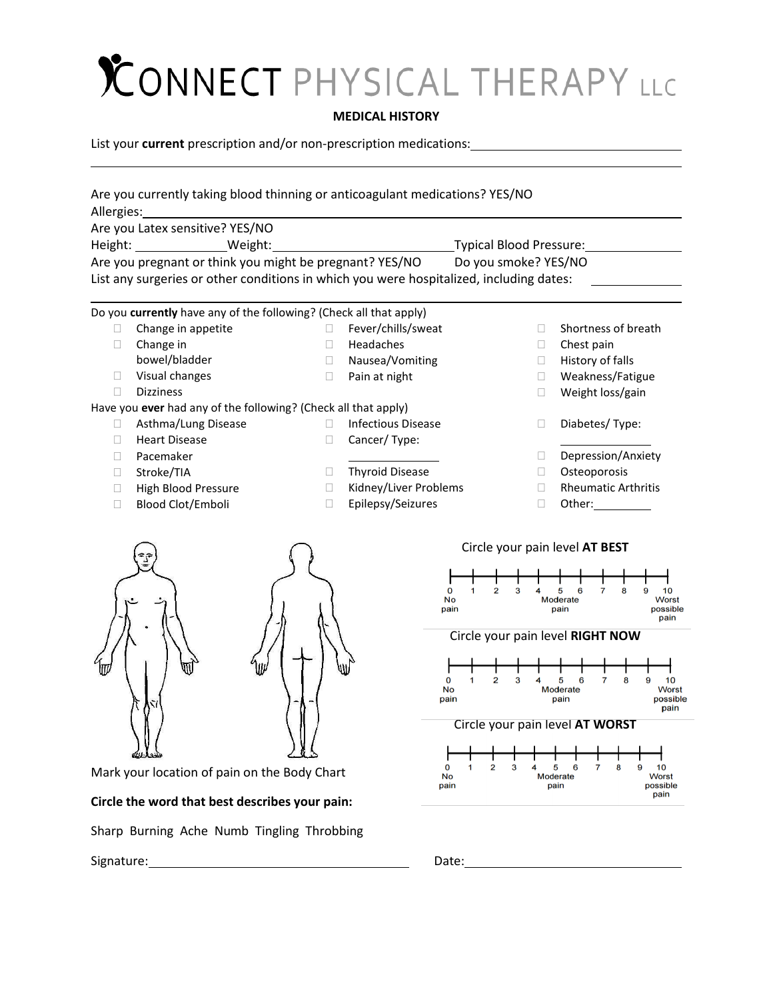## CONNECT PHYSICAL THERAPY LLC

#### **MEDICAL HISTORY**

List your **current** prescription and/or non-prescription medications:

| Are you currently taking blood thinning or anticoagulant medications? YES/NO<br>Allergies: |        |                                            |                                    |                                                     |
|--------------------------------------------------------------------------------------------|--------|--------------------------------------------|------------------------------------|-----------------------------------------------------|
| Are you Latex sensitive? YES/NO                                                            |        |                                            |                                    |                                                     |
| Height: __________________Weight:                                                          |        |                                            | Typical Blood Pressure:            |                                                     |
| Are you pregnant or think you might be pregnant? YES/NO                                    |        |                                            | Do you smoke? YES/NO               |                                                     |
| List any surgeries or other conditions in which you were hospitalized, including dates:    |        |                                            |                                    |                                                     |
|                                                                                            |        |                                            |                                    |                                                     |
| Do you currently have any of the following? (Check all that apply)                         |        |                                            |                                    |                                                     |
| Change in appetite<br>u                                                                    | П.     | Fever/chills/sweat                         | П                                  | Shortness of breath                                 |
| Change in<br>u                                                                             | $\Box$ | Headaches                                  | $\Box$                             | Chest pain                                          |
| bowel/bladder                                                                              | $\Box$ | Nausea/Vomiting                            | $\Box$                             | History of falls                                    |
| Visual changes<br>u                                                                        | $\Box$ | Pain at night                              | □                                  | Weakness/Fatigue                                    |
| <b>Dizziness</b><br>П                                                                      |        |                                            | □                                  | Weight loss/gain                                    |
| Have you ever had any of the following? (Check all that apply)                             |        |                                            |                                    |                                                     |
| Asthma/Lung Disease<br>Ш                                                                   | $\Box$ | <b>Infectious Disease</b>                  | □                                  | Diabetes/Type:                                      |
| <b>Heart Disease</b><br>u                                                                  | □      | Cancer/Type:                               |                                    |                                                     |
| Pacemaker<br>П                                                                             |        |                                            | $\Box$                             | Depression/Anxiety                                  |
| Stroke/TIA<br>u                                                                            | □      | <b>Thyroid Disease</b>                     | □                                  | Osteoporosis                                        |
| High Blood Pressure<br>$\Box$<br><b>Blood Clot/Emboli</b>                                  | Ш      | Kidney/Liver Problems<br>Epilepsy/Seizures | $\Box$                             | <b>Rheumatic Arthritis</b>                          |
| $\mathbf{I}$                                                                               | Ш      |                                            | $\Box$                             |                                                     |
|                                                                                            |        |                                            | Circle your pain level AT BEST     |                                                     |
|                                                                                            |        |                                            |                                    |                                                     |
|                                                                                            |        |                                            |                                    |                                                     |
|                                                                                            |        |                                            | 2<br>O<br>з<br>No                  | 5<br>6<br>8<br>9<br>10<br><b>Moderate</b><br>Worst  |
|                                                                                            |        |                                            | pain                               | possible<br>pain<br>pain                            |
|                                                                                            |        |                                            | Circle your pain level RIGHT NOW   |                                                     |
|                                                                                            |        |                                            |                                    |                                                     |
|                                                                                            |        |                                            |                                    |                                                     |
|                                                                                            |        |                                            | 2<br>No                            | 5<br>10<br>Moderate<br><b>Worst</b>                 |
|                                                                                            |        |                                            | pain                               | possible<br>pain                                    |
|                                                                                            |        |                                            |                                    | pain                                                |
|                                                                                            |        |                                            | Circle your pain level AT WORST    |                                                     |
|                                                                                            |        |                                            |                                    |                                                     |
| Mark your location of pain on the Body Chart                                               |        | 0                                          | $\overline{\mathbf{2}}$<br>з<br>1. | 5<br>7<br>8<br>9<br>10<br>6                         |
|                                                                                            |        |                                            | No<br>pain                         | <b>Worst</b><br><b>Moderate</b><br>pain<br>possible |
| Circle the word that best describes your pain:                                             |        |                                            |                                    | pain                                                |
| Sharp Burning Ache Numb Tingling Throbbing                                                 |        |                                            |                                    |                                                     |
| Signature:                                                                                 |        |                                            | Date:                              |                                                     |